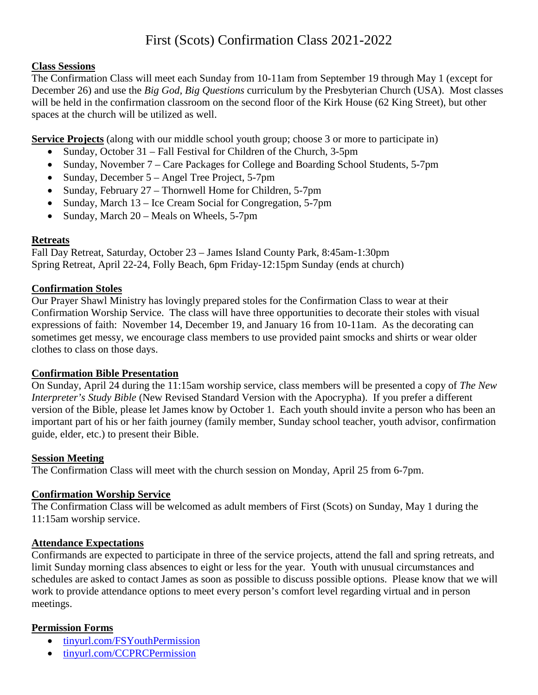# First (Scots) Confirmation Class 2021-2022

## **Class Sessions**

The Confirmation Class will meet each Sunday from 10-11am from September 19 through May 1 (except for December 26) and use the *Big God, Big Questions* curriculum by the Presbyterian Church (USA). Most classes will be held in the confirmation classroom on the second floor of the Kirk House (62 King Street), but other spaces at the church will be utilized as well.

**Service Projects** (along with our middle school youth group; choose 3 or more to participate in)

- Sunday, October 31 Fall Festival for Children of the Church, 3-5pm
- Sunday, November 7 Care Packages for College and Boarding School Students, 5-7pm
- Sunday, December 5 Angel Tree Project, 5-7pm
- Sunday, February 27 Thornwell Home for Children, 5-7pm
- Sunday, March 13 Ice Cream Social for Congregation, 5-7pm
- Sunday, March 20 Meals on Wheels, 5-7pm

## **Retreats**

Fall Day Retreat, Saturday, October 23 – James Island County Park, 8:45am-1:30pm Spring Retreat, April 22-24, Folly Beach, 6pm Friday-12:15pm Sunday (ends at church)

## **Confirmation Stoles**

Our Prayer Shawl Ministry has lovingly prepared stoles for the Confirmation Class to wear at their Confirmation Worship Service. The class will have three opportunities to decorate their stoles with visual expressions of faith: November 14, December 19, and January 16 from 10-11am. As the decorating can sometimes get messy, we encourage class members to use provided paint smocks and shirts or wear older clothes to class on those days.

# **Confirmation Bible Presentation**

On Sunday, April 24 during the 11:15am worship service, class members will be presented a copy of *The New Interpreter's Study Bible* (New Revised Standard Version with the Apocrypha). If you prefer a different version of the Bible, please let James know by October 1. Each youth should invite a person who has been an important part of his or her faith journey (family member, Sunday school teacher, youth advisor, confirmation guide, elder, etc.) to present their Bible.

#### **Session Meeting**

The Confirmation Class will meet with the church session on Monday, April 25 from 6-7pm.

# **Confirmation Worship Service**

The Confirmation Class will be welcomed as adult members of First (Scots) on Sunday, May 1 during the 11:15am worship service.

#### **Attendance Expectations**

Confirmands are expected to participate in three of the service projects, attend the fall and spring retreats, and limit Sunday morning class absences to eight or less for the year. Youth with unusual circumstances and schedules are asked to contact James as soon as possible to discuss possible options. Please know that we will work to provide attendance options to meet every person's comfort level regarding virtual and in person meetings.

# **Permission Forms**

- [tinyurl.com/FSYouthPermission](http://www.tinyurl.com/FSYouthPermission)
- [tinyurl.com/CCPRCPermission](http://www.tinyurl.com/CCPRCPermission)